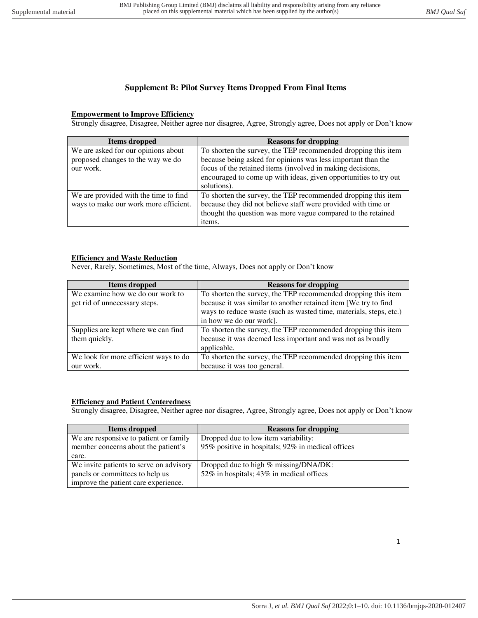# **Supplement B: Pilot Survey Items Dropped From Final Items**

### **Empowerment to Improve Efficiency**

Strongly disagree, Disagree, Neither agree nor disagree, Agree, Strongly agree, Does not apply or Don't know

| Items dropped                         | <b>Reasons for dropping</b>                                      |
|---------------------------------------|------------------------------------------------------------------|
| We are asked for our opinions about   | To shorten the survey, the TEP recommended dropping this item    |
| proposed changes to the way we do     | because being asked for opinions was less important than the     |
| our work.                             | focus of the retained items (involved in making decisions,       |
|                                       | encouraged to come up with ideas, given opportunities to try out |
|                                       | solutions).                                                      |
| We are provided with the time to find | To shorten the survey, the TEP recommended dropping this item    |
| ways to make our work more efficient. | because they did not believe staff were provided with time or    |
|                                       | thought the question was more vague compared to the retained     |
|                                       | items.                                                           |

### **Efficiency and Waste Reduction**

Never, Rarely, Sometimes, Most of the time, Always, Does not apply or Don't know

| Items dropped                         | <b>Reasons for dropping</b>                                        |
|---------------------------------------|--------------------------------------------------------------------|
| We examine how we do our work to      | To shorten the survey, the TEP recommended dropping this item      |
| get rid of unnecessary steps.         | because it was similar to another retained item [We try to find    |
|                                       | ways to reduce waste (such as wasted time, materials, steps, etc.) |
|                                       | in how we do our work].                                            |
| Supplies are kept where we can find   | To shorten the survey, the TEP recommended dropping this item      |
| them quickly.                         | because it was deemed less important and was not as broadly        |
|                                       | applicable.                                                        |
| We look for more efficient ways to do | To shorten the survey, the TEP recommended dropping this item      |
| our work.                             | because it was too general.                                        |

### **Efficiency and Patient Centeredness**

Strongly disagree, Disagree, Neither agree nor disagree, Agree, Strongly agree, Does not apply or Don't know

| Items dropped                           | <b>Reasons for dropping</b>                       |
|-----------------------------------------|---------------------------------------------------|
| We are responsive to patient or family  | Dropped due to low item variability:              |
| member concerns about the patient's     | 95% positive in hospitals; 92% in medical offices |
| care.                                   |                                                   |
| We invite patients to serve on advisory | Dropped due to high % missing/DNA/DK:             |
| panels or committees to help us         | 52% in hospitals; 43% in medical offices          |
| improve the patient care experience.    |                                                   |